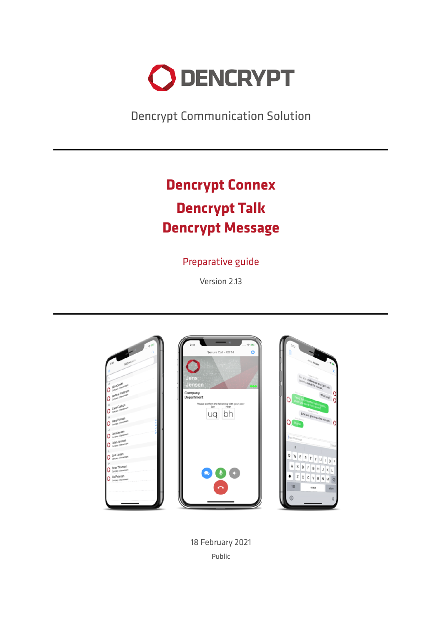

Dencrypt Communication Solution

# **Dencrypt Connex Dencrypt Talk Dencrypt Message**

# Preparative guide

Version 2.13



18 February 2021 Public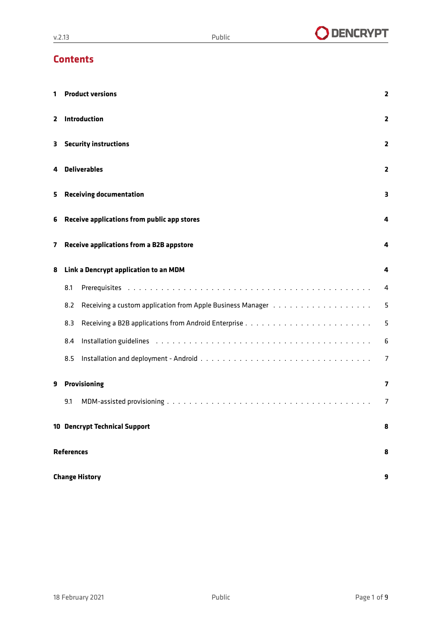# **Contents**

| 1  |                                                  | <b>Product versions</b><br>$\overline{2}$                                                                                                                                                                                      |                |  |  |  |  |
|----|--------------------------------------------------|--------------------------------------------------------------------------------------------------------------------------------------------------------------------------------------------------------------------------------|----------------|--|--|--|--|
| 2  |                                                  | Introduction<br>2                                                                                                                                                                                                              |                |  |  |  |  |
| з. |                                                  | <b>Security instructions</b><br>2                                                                                                                                                                                              |                |  |  |  |  |
| 4  | <b>Deliverables</b><br>$\overline{\mathbf{z}}$   |                                                                                                                                                                                                                                |                |  |  |  |  |
| 5  | <b>Receiving documentation</b><br>3              |                                                                                                                                                                                                                                |                |  |  |  |  |
| 6  | Receive applications from public app stores<br>4 |                                                                                                                                                                                                                                |                |  |  |  |  |
| 7  |                                                  | Receive applications from a B2B appstore<br>4                                                                                                                                                                                  |                |  |  |  |  |
| 8  |                                                  | Link a Dencrypt application to an MDM                                                                                                                                                                                          |                |  |  |  |  |
|    | 8.1                                              |                                                                                                                                                                                                                                | 4              |  |  |  |  |
|    | 8.2                                              | Receiving a custom application from Apple Business Manager (also assets a contact of a contact                                                                                                                                 | 5              |  |  |  |  |
|    | 8.3                                              |                                                                                                                                                                                                                                | 5              |  |  |  |  |
|    | 8.4                                              | Installation guidelines enterpreterate and contact the contract of the contact of the contact of the contact of the contact of the contact of the contact of the contact of the contact of the contact of the contact of the c | 6              |  |  |  |  |
|    | 8.5                                              |                                                                                                                                                                                                                                | $\overline{7}$ |  |  |  |  |
| 9  | <b>Provisioning</b>                              |                                                                                                                                                                                                                                |                |  |  |  |  |
|    | 9.1                                              |                                                                                                                                                                                                                                | 7              |  |  |  |  |
|    | <b>10 Dencrypt Technical Support</b><br>8        |                                                                                                                                                                                                                                |                |  |  |  |  |
|    | <b>References</b><br>8                           |                                                                                                                                                                                                                                |                |  |  |  |  |
|    | <b>Change History</b>                            |                                                                                                                                                                                                                                |                |  |  |  |  |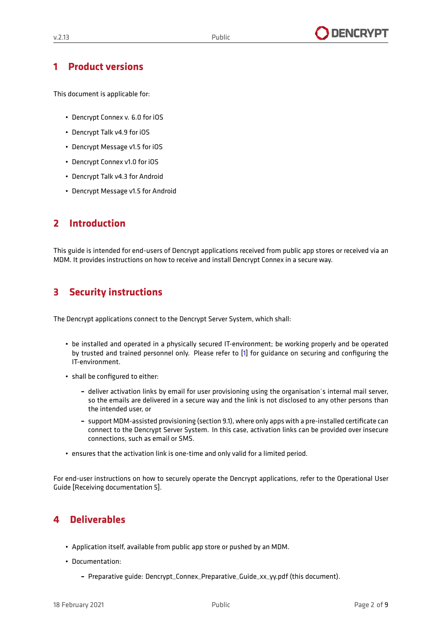### <span id="page-2-0"></span>**1 Product versions**

This document is applicable for:

- Dencrypt Connex v. 6.0 for iOS
- Dencrypt Talk v4.9 for iOS
- Dencrypt Message v1.5 for iOS
- Dencrypt Connex v1.0 for iOS
- Dencrypt Talk v4.3 for Android
- Dencrypt Message v1.5 for Android

### <span id="page-2-1"></span>**2 Introduction**

<span id="page-2-2"></span>This guide is intended for end-users of Dencrypt applications received from public app stores or received via an MDM. It provides instructions on how to receive and install Dencrypt Connex in a secure way.

### **3 Security instructions**

The Dencrypt applications connect to the Dencrypt Server System, which shall:

- be installed and operated in a physically secured IT-environment; be working properly and be operated by trusted and trained personnel only. Please refer to [\[1\]](#page-8-1) for guidance on securing and configuring the IT-environment.
- shall be configured to either:
	- **–** deliver activation links by email for user provisioning using the organisation´s internal mail server, so the emails are delivered in a secure way and the link is not disclosed to any other persons than the intended user, or
	- **–** support MDM-assisted provisioning (section [9.1\)](#page-7-1), where only apps with a pre-installed certificate can connect to the Dencrypt Server System. In this case, activation links can be provided over insecure connections, such as email or SMS.
- ensures that the activation link is one-time and only valid for a limited period.

<span id="page-2-3"></span>For end-user instructions on how to securely operate the Dencrypt applications, refer to the Operational User Guide [\[Receiving documentation](#page-3-0) [5\]](#page-3-0).

# **4 Deliverables**

- Application itself, available from public app store or pushed by an MDM.
- Documentation:
	- **–** Preparative guide: Dencrypt\_Connex\_Preparative\_Guide\_xx\_yy.pdf (this document).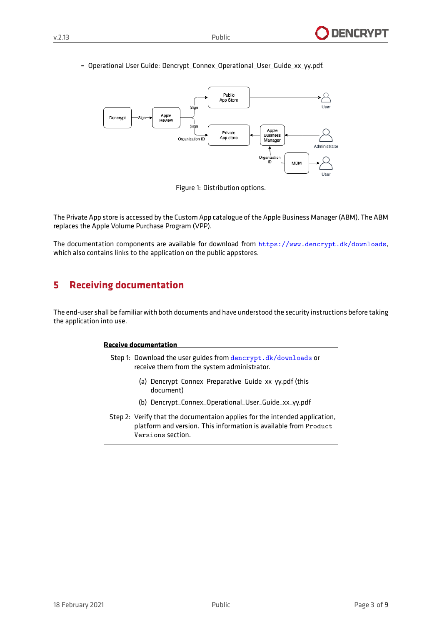#### **–** Operational User Guide: Dencrypt\_Connex\_Operational\_User\_Guide\_xx\_yy.pdf.



Figure 1: Distribution options.

The Private App store is accessed by the Custom App catalogue of the Apple Business Manager (ABM). The ABM replaces the Apple Volume Purchase Program (VPP).

<span id="page-3-0"></span>The documentation components are available for download from <https://www.dencrypt.dk/downloads>, which also contains links to the application on the public appstores.

### **5 Receiving documentation**

The end-user shall be familiar with both documents and have understood the security instructions before taking the application into use.

#### **Receive documentation**

- Step 1: Download the user guides from <dencrypt.dk/downloads> or receive them from the system administrator.
	- (a) Dencrypt\_Connex\_Preparative\_Guide\_xx\_yy.pdf (this document)
	- (b) Dencrypt\_Connex\_Operational\_User\_Guide\_xx\_yy.pdf
- <span id="page-3-1"></span>Step 2: Verify that the documentaion applies for the intended application, platform and version. This information is available from Product Versions section.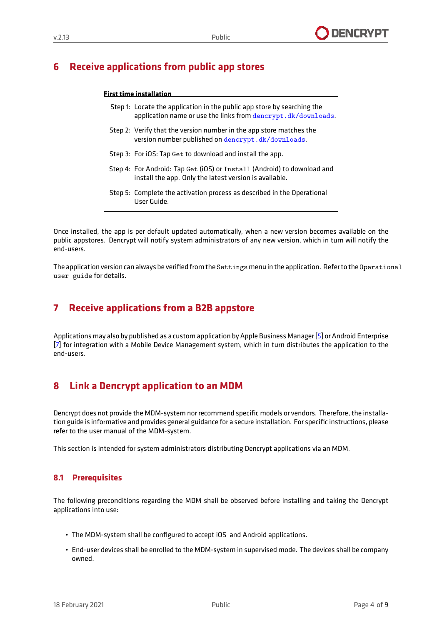# **6 Receive applications from public app stores**

#### **First time installation**

- Step 1: Locate the application in the public app store by searching the application name or use the links from <dencrypt.dk/downloads>.
- Step 2: Verify that the version number in the app store matches the version number published on <dencrypt.dk/downloads>.
- Step 3: For iOS: Tap Get to download and install the app.
- Step 4: For Android: Tap Get (iOS) or Install (Android) to download and install the app. Only the latest version is available.
- Step 5: Complete the activation process as described in the Operational User Guide.

Once installed, the app is per default updated automatically, when a new version becomes available on the public appstores. Dencrypt will notify system administrators of any new version, which in turn will notify the end-users.

<span id="page-4-0"></span>The application version can always be verified from the Settings menu in the application. Refer to the Operational user guide for details.

### **7 Receive applications from a B2B appstore**

<span id="page-4-1"></span>Applications may also by published as a custom application by Apple Business Manager [\[5\]](#page-8-2) or Android Enterprise [\[7\]](#page-8-3) for integration with a Mobile Device Management system, which in turn distributes the application to the end-users.

# **8 Link a Dencrypt application to an MDM**

Dencrypt does not provide the MDM-system nor recommend specific models or vendors. Therefore, the installation guide is informative and provides general guidance for a secure installation. For specific instructions, please refer to the user manual of the MDM-system.

<span id="page-4-2"></span>This section is intended for system administrators distributing Dencrypt applications via an MDM.

### **8.1 Prerequisites**

The following preconditions regarding the MDM shall be observed before installing and taking the Dencrypt applications into use:

- The MDM-system shall be configured to accept iOS and Android applications.
- End-user devices shall be enrolled to the MDM-system in supervised mode. The devices shall be company owned.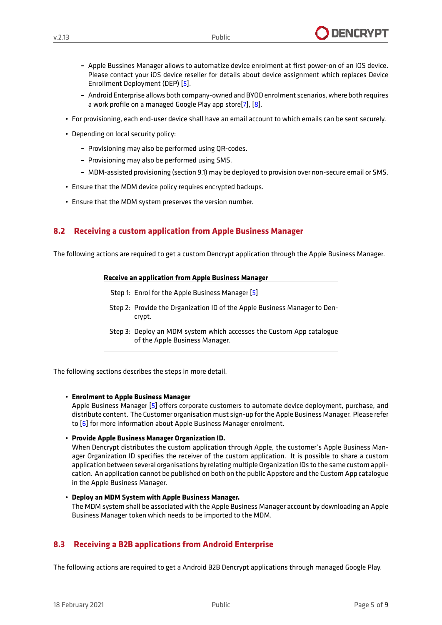- **–** Apple Bussines Manager allows to automatize device enrolment at first power-on of an iOS device. Please contact your iOS device reseller for details about device assignment which replaces Device Enrollment Deployment (DEP) [\[5\]](#page-8-2).
- **–** Android Enterprise allows both company-owned and BYOD enrolment scenarios, where both requires a work profile on a managed Google Play app store<sup>[\[7\]](#page-8-3)</sup>, [\[8\]](#page-8-4).
- For provisioning, each end-user device shall have an email account to which emails can be sent securely.
- Depending on local security policy:
	- **–** Provisioning may also be performed using QR-codes.
	- **–** Provisioning may also be performed using SMS.
	- **–** MDM-assisted provisioning (section [9.1\)](#page-7-1) may be deployed to provision over non-secure email or SMS.
- Ensure that the MDM device policy requires encrypted backups.
- Ensure that the MDM system preserves the version number.

### <span id="page-5-0"></span>**8.2 Receiving a custom application from Apple Business Manager**

The following actions are required to get a custom Dencrypt application through the Apple Business Manager.

#### **Receive an application from Apple Business Manager**

- Step 1: Enrol for the Apple Business Manager [\[5\]](#page-8-2)
- Step 2: Provide the Organization ID of the Apple Business Manager to Dencrypt.
- Step 3: Deploy an MDM system which accesses the Custom App catalogue of the Apple Business Manager.

The following sections describes the steps in more detail.

#### • **Enrolment to Apple Business Manager**

Apple Business Manager [\[5\]](#page-8-2) offers corporate customers to automate device deployment, purchase, and distribute content. The Customer organisation must sign-up for the Apple Business Manager. Please refer to [\[6\]](#page-8-5) for more information about Apple Business Manager enrolment.

#### • **Provide Apple Business Manager Organization ID.**

When Dencrypt distributes the custom application through Apple, the customer's Apple Business Manager Organization ID specifies the receiver of the custom application. It is possible to share a custom application between several organisations by relating multiple Organization IDs to the same custom application. An application cannot be published on both on the public Appstore and the Custom App catalogue in the Apple Business Manager.

#### • **Deploy an MDM System with Apple Business Manager.** The MDM system shall be associated with the Apple Business Manager account by downloading an Apple Business Manager token which needs to be imported to the MDM.

### <span id="page-5-1"></span>**8.3 Receiving a B2B applications from Android Enterprise**

The following actions are required to get a Android B2B Dencrypt applications through managed Google Play.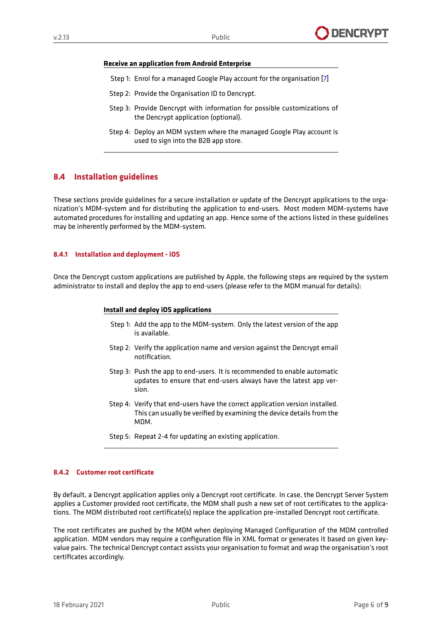#### **Receive an application from Android Enterprise**

- Step 1: Enrol for a managed Google Play account for the organisation [\[7\]](#page-8-3)
- Step 2: Provide the Organisation ID to Dencrypt.
- Step 3: Provide Dencrypt with information for possible customizations of the Dencrypt application (optional).
- Step 4: Deploy an MDM system where the managed Google Play account is used to sign into the B2B app store.

### <span id="page-6-0"></span>**8.4 Installation guidelines**

These sections provide guidelines for a secure installation or update of the Dencrypt applications to the organization's MDM-system and for distributing the application to end-users. Most modern MDM-systems have automated procedures for installing and updating an app. Hence some of the actions listed in these guidelines may be inherently performed by the MDM-system.

#### **8.4.1 Installation and deployment - iOS**

Once the Dencrypt custom applications are published by Apple, the following steps are required by the system administrator to install and deploy the app to end-users (please refer to the MDM manual for details):

#### **Install and deploy iOS applications**

- Step 1: Add the app to the MDM-system. Only the latest version of the app is available.
- Step 2: Verify the application name and version against the Dencrypt email notification.
- Step 3: Push the app to end-users. It is recommended to enable automatic updates to ensure that end-users always have the latest app version.
- Step 4: Verify that end-users have the correct application version installed. This can usually be verified by examining the device details from the MDM.
- Step 5: Repeat 2-4 for updating an existing application.

#### **8.4.2 Customer root certificate**

By default, a Dencrypt application applies only a Dencrypt root certificate. In case, the Dencrypt Server System applies a Customer provided root certificate, the MDM shall push a new set of root certificates to the applications. The MDM distributed root certificate(s) replace the application pre-installed Dencrypt root certificate.

<span id="page-6-1"></span>The root certificates are pushed by the MDM when deploying Managed Configuration of the MDM controlled application. MDM vendors may require a configuration file in XML format or generates it based on given keyvalue pairs. The technical Dencrypt contact assists your organisation to format and wrap the organisation's root certificates accordingly.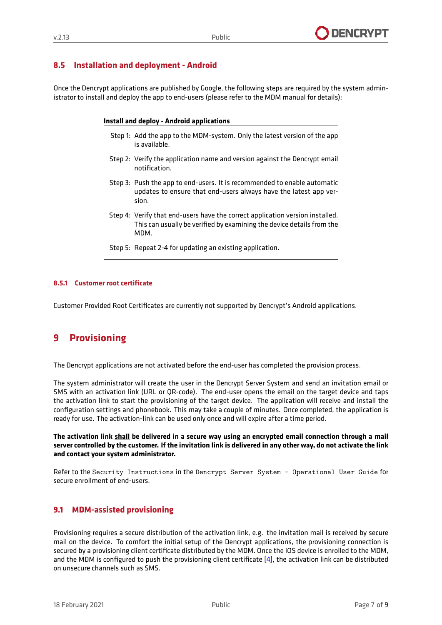### **8.5 Installation and deployment - Android**

Once the Dencrypt applications are published by Google, the following steps are required by the system administrator to install and deploy the app to end-users (please refer to the MDM manual for details):

#### **Install and deploy - Android applications**

- Step 1: Add the app to the MDM-system. Only the latest version of the app is available.
- Step 2: Verify the application name and version against the Dencrypt email notification.
- Step 3: Push the app to end-users. It is recommended to enable automatic updates to ensure that end-users always have the latest app version.
- Step 4: Verify that end-users have the correct application version installed. This can usually be verified by examining the device details from the MDM.
- Step 5: Repeat 2-4 for updating an existing application.

#### **8.5.1 Customer root certificate**

<span id="page-7-0"></span>Customer Provided Root Certificates are currently not supported by Dencrypt's Android applications.

# **9 Provisioning**

The Dencrypt applications are not activated before the end-user has completed the provision process.

The system administrator will create the user in the Dencrypt Server System and send an invitation email or SMS with an activation link (URL or QR-code). The end-user opens the email on the target device and taps the activation link to start the provisioning of the target device. The application will receive and install the configuration settings and phonebook. This may take a couple of minutes. Once completed, the application is ready for use. The activation-link can be used only once and will expire after a time period.

**The activation link shall be delivered in a secure way using an encrypted email connection through a mail server controlled by the customer. If the invitation link is delivered in any other way, do not activate the link and contact your system administrator.**

<span id="page-7-1"></span>Refer to the Security Instructions in the Dencrypt Server System - Operational User Guide for secure enrollment of end-users.

### **9.1 MDM-assisted provisioning**

Provisioning requires a secure distribution of the activation link, e.g. the invitation mail is received by secure mail on the device. To comfort the initial setup of the Dencrypt applications, the provisioning connection is secured by a provisioning client certificate distributed by the MDM. Once the iOS device is enrolled to the MDM, and the MDM is configured to push the provisioning client certificate  $[4]$ , the activation link can be distributed on unsecure channels such as SMS.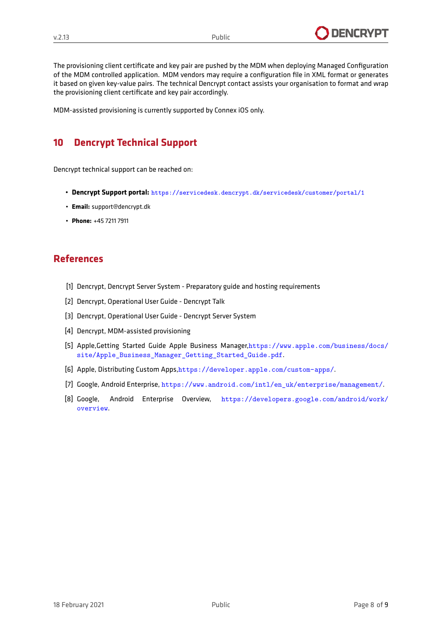

The provisioning client certificate and key pair are pushed by the MDM when deploying Managed Configuration of the MDM controlled application. MDM vendors may require a configuration file in XML format or generates it based on given key-value pairs. The technical Dencrypt contact assists your organisation to format and wrap the provisioning client certificate and key pair accordingly.

<span id="page-8-0"></span>MDM-assisted provisioning is currently supported by Connex iOS only.

### **10 Dencrypt Technical Support**

Dencrypt technical support can be reached on:

- **Dencrypt Support portal:** <https://servicedesk.dencrypt.dk/servicedesk/customer/portal/1>
- **Email:** support@dencrypt.dk
- **Phone:** +45 7211 7911

### **References**

- <span id="page-8-1"></span>[1] Dencrypt, Dencrypt Server System - Preparatory guide and hosting requirements
- [2] Dencrypt, Operational User Guide Dencrypt Talk
- [3] Dencrypt, Operational User Guide Dencrypt Server System
- <span id="page-8-6"></span>[4] Dencrypt, MDM-assisted provisioning
- <span id="page-8-2"></span>[5] Apple,Getting Started Guide Apple Business Manager,[https://www.apple.com/business/docs/](https://www.apple.com/business/docs/site/Apple_Business_Manager_Getting_Started_Guide.pdf) [site/Apple\\_Business\\_Manager\\_Getting\\_Started\\_Guide.pdf](https://www.apple.com/business/docs/site/Apple_Business_Manager_Getting_Started_Guide.pdf).
- <span id="page-8-5"></span>[6] Apple, Distributing Custom Apps,<https://developer.apple.com/custom-apps/>.
- <span id="page-8-3"></span>[7] Google, Android Enterprise, [https://www.android.com/intl/en\\_uk/enterprise/management/](https://www.android.com/intl/en_uk/enterprise/management/).
- <span id="page-8-4"></span>[8] Google, Android Enterprise Overview, [https://developers.google.com/android/work/](https://developers.google.com/android/work/overview) [overview](https://developers.google.com/android/work/overview).